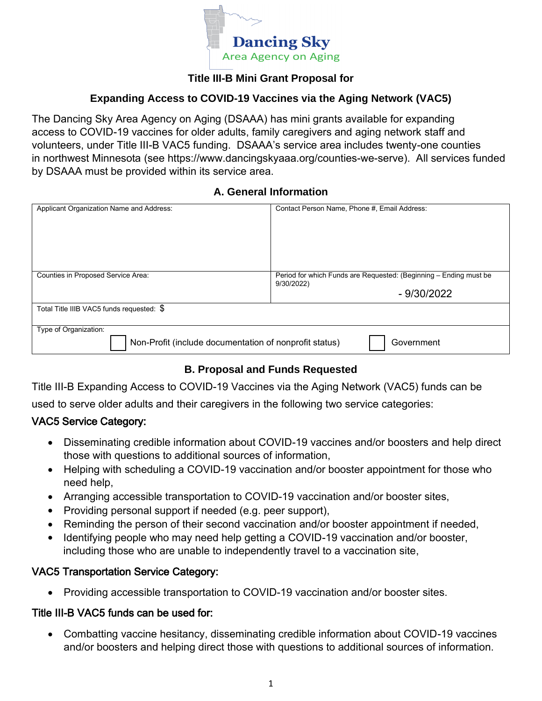

# **Title III-B Mini Grant Proposal for**

#### **Expanding Access to COVID-19 Vaccines via the Aging Network (VAC5)**

The Dancing Sky Area Agency on Aging (DSAAA) has mini grants available for expanding access to COVID-19 vaccines for older adults, family caregivers and aging network staff and volunteers, under Title III-B VAC5 funding. DSAAA's service area includes twenty-one counties in northwest Minnesota (see https://www.dancingskyaaa.org/counties-we-serve). All services funded by DSAAA must be provided within its service area.

#### **A. General Information**

| Applicant Organization Name and Address:                             | Contact Person Name, Phone #, Email Address:                      |  |
|----------------------------------------------------------------------|-------------------------------------------------------------------|--|
|                                                                      |                                                                   |  |
|                                                                      |                                                                   |  |
|                                                                      |                                                                   |  |
|                                                                      |                                                                   |  |
|                                                                      |                                                                   |  |
|                                                                      |                                                                   |  |
|                                                                      |                                                                   |  |
|                                                                      |                                                                   |  |
|                                                                      |                                                                   |  |
| Counties in Proposed Service Area:                                   | Period for which Funds are Requested: (Beginning - Ending must be |  |
|                                                                      | 9/30/2022)                                                        |  |
|                                                                      |                                                                   |  |
|                                                                      | $-9/30/2022$                                                      |  |
|                                                                      |                                                                   |  |
| Total Title IIIB VAC5 funds requested: \$                            |                                                                   |  |
|                                                                      |                                                                   |  |
|                                                                      |                                                                   |  |
| Type of Organization:                                                |                                                                   |  |
|                                                                      |                                                                   |  |
| Non-Profit (include documentation of nonprofit status)<br>Government |                                                                   |  |
|                                                                      |                                                                   |  |
|                                                                      |                                                                   |  |

# **B. Proposal and Funds Requested**

Title III-B Expanding Access to COVID-19 Vaccines via the Aging Network (VAC5) funds can be

used to serve older adults and their caregivers in the following two service categories:

# VAC5 Service Category:

- Disseminating credible information about COVID-19 vaccines and/or boosters and help direct those with questions to additional sources of information,
- Helping with scheduling a COVID-19 vaccination and/or booster appointment for those who need help,
- Arranging accessible transportation to COVID-19 vaccination and/or booster sites,
- Providing personal support if needed (e.g. peer support),
- Reminding the person of their second vaccination and/or booster appointment if needed,
- Identifying people who may need help getting a COVID-19 vaccination and/or booster, including those who are unable to independently travel to a vaccination site,

# VAC5 Transportation Service Category:

• Providing accessible transportation to COVID-19 vaccination and/or booster sites.

#### Title III-B VAC5 funds can be used for:

• Combatting vaccine hesitancy, disseminating credible information about COVID-19 vaccines and/or boosters and helping direct those with questions to additional sources of information.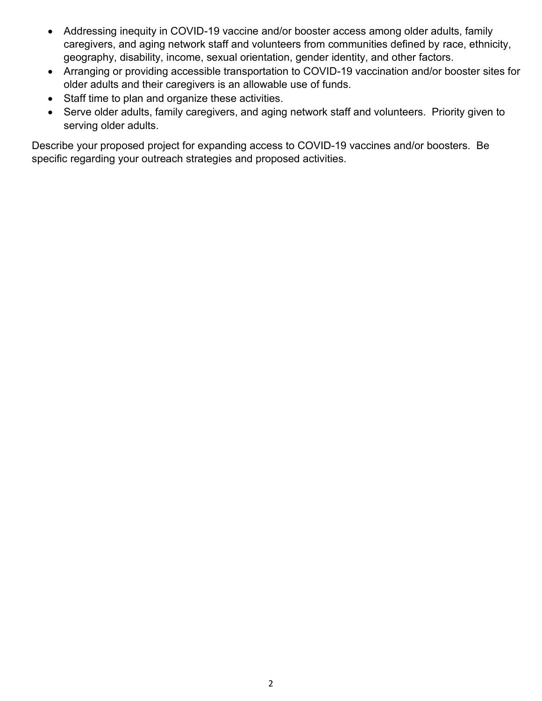- Addressing inequity in COVID-19 vaccine and/or booster access among older adults, family caregivers, and aging network staff and volunteers from communities defined by race, ethnicity, geography, disability, income, sexual orientation, gender identity, and other factors.
- Arranging or providing accessible transportation to COVID-19 vaccination and/or booster sites for older adults and their caregivers is an allowable use of funds.
- Staff time to plan and organize these activities.
- Serve older adults, family caregivers, and aging network staff and volunteers. Priority given to serving older adults.

Describe your proposed project for expanding access to COVID-19 vaccines and/or boosters. Be specific regarding your outreach strategies and proposed activities.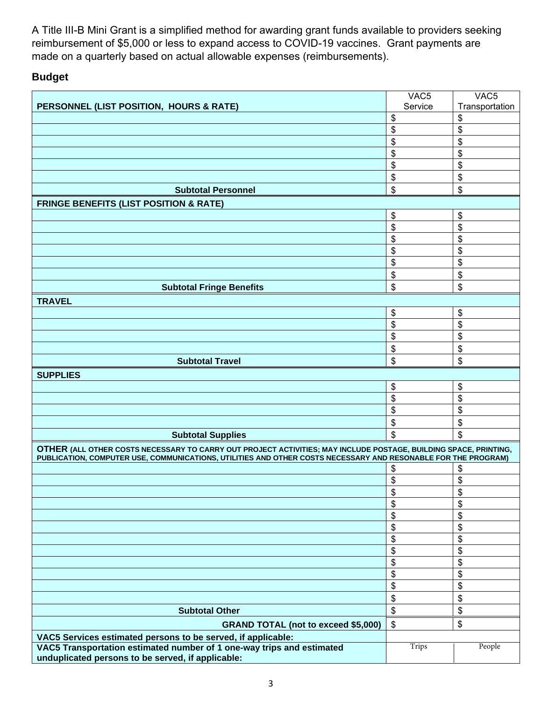A Title III-B Mini Grant is a simplified method for awarding grant funds available to providers seeking reimbursement of \$5,000 or less to expand access to COVID-19 vaccines. Grant payments are made on a quarterly based on actual allowable expenses (reimbursements).

# **Budget**

|                                                                                                                                                                                                                                   | VAC <sub>5</sub> | VAC <sub>5</sub>          |
|-----------------------------------------------------------------------------------------------------------------------------------------------------------------------------------------------------------------------------------|------------------|---------------------------|
| PERSONNEL (LIST POSITION, HOURS & RATE)                                                                                                                                                                                           | Service          | Transportation            |
|                                                                                                                                                                                                                                   | \$               | \$                        |
|                                                                                                                                                                                                                                   | \$               | \$                        |
|                                                                                                                                                                                                                                   | \$               | \$                        |
|                                                                                                                                                                                                                                   | \$               | \$                        |
|                                                                                                                                                                                                                                   | \$               | \$                        |
|                                                                                                                                                                                                                                   | \$               | \$                        |
| <b>Subtotal Personnel</b>                                                                                                                                                                                                         | \$               | \$                        |
| <b>FRINGE BENEFITS (LIST POSITION &amp; RATE)</b>                                                                                                                                                                                 |                  |                           |
|                                                                                                                                                                                                                                   | \$               | \$                        |
|                                                                                                                                                                                                                                   | \$               | \$                        |
|                                                                                                                                                                                                                                   | \$               | \$                        |
|                                                                                                                                                                                                                                   | \$               | \$                        |
|                                                                                                                                                                                                                                   | \$               | \$                        |
|                                                                                                                                                                                                                                   | \$               | \$                        |
| <b>Subtotal Fringe Benefits</b>                                                                                                                                                                                                   | \$               | \$                        |
| <b>TRAVEL</b>                                                                                                                                                                                                                     |                  |                           |
|                                                                                                                                                                                                                                   | \$               | \$                        |
|                                                                                                                                                                                                                                   | \$               | \$                        |
|                                                                                                                                                                                                                                   | \$               | \$                        |
|                                                                                                                                                                                                                                   | \$               | \$                        |
| <b>Subtotal Travel</b>                                                                                                                                                                                                            | \$               | \$                        |
| <b>SUPPLIES</b>                                                                                                                                                                                                                   |                  |                           |
|                                                                                                                                                                                                                                   | \$               | \$                        |
|                                                                                                                                                                                                                                   | \$               | \$                        |
|                                                                                                                                                                                                                                   | \$               | \$                        |
|                                                                                                                                                                                                                                   | \$               | \$                        |
| <b>Subtotal Supplies</b>                                                                                                                                                                                                          | \$               | \$                        |
| OTHER (ALL OTHER COSTS NECESSARY TO CARRY OUT PROJECT ACTIVITIES; MAY INCLUDE POSTAGE, BUILDING SPACE, PRINTING,<br>PUBLICATION, COMPUTER USE, COMMUNICATIONS, UTILITIES AND OTHER COSTS NECESSARY AND RESONABLE FOR THE PROGRAM) |                  |                           |
|                                                                                                                                                                                                                                   | \$               | \$                        |
|                                                                                                                                                                                                                                   | \$               | \$                        |
|                                                                                                                                                                                                                                   | \$               | \$                        |
|                                                                                                                                                                                                                                   | \$               | \$                        |
|                                                                                                                                                                                                                                   | \$               | \$                        |
|                                                                                                                                                                                                                                   | \$               | \$                        |
|                                                                                                                                                                                                                                   | \$               | \$                        |
|                                                                                                                                                                                                                                   | \$               | \$                        |
|                                                                                                                                                                                                                                   | \$               | \$                        |
|                                                                                                                                                                                                                                   | \$               | \$                        |
|                                                                                                                                                                                                                                   | \$               | $\boldsymbol{\mathsf{S}}$ |
|                                                                                                                                                                                                                                   | \$               | \$                        |
| <b>Subtotal Other</b>                                                                                                                                                                                                             | \$               | \$                        |
| <b>GRAND TOTAL (not to exceed \$5,000)</b>                                                                                                                                                                                        | $\mathbb{S}$     | \$                        |
| VAC5 Services estimated persons to be served, if applicable:                                                                                                                                                                      |                  |                           |
| VAC5 Transportation estimated number of 1 one-way trips and estimated                                                                                                                                                             | Trips            | People                    |
| unduplicated persons to be served, if applicable:                                                                                                                                                                                 |                  |                           |